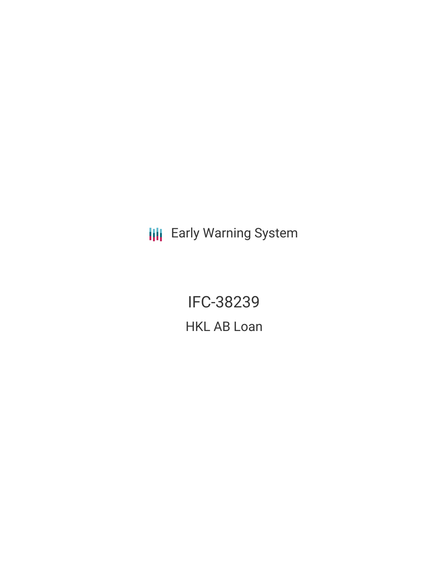**III** Early Warning System

IFC-38239 HKL AB Loan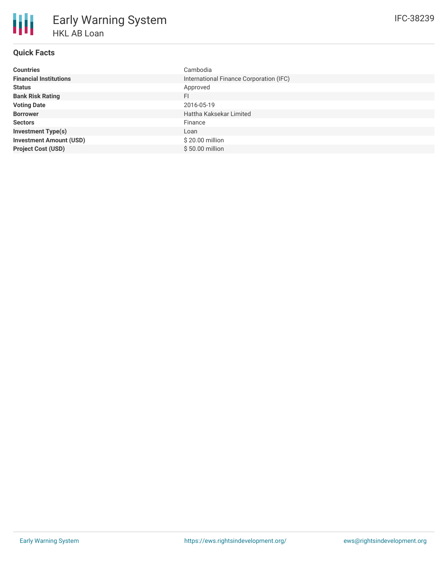| <b>Countries</b>               | Cambodia                                |
|--------------------------------|-----------------------------------------|
| <b>Financial Institutions</b>  | International Finance Corporation (IFC) |
| <b>Status</b>                  | Approved                                |
| <b>Bank Risk Rating</b>        | FI                                      |
| <b>Voting Date</b>             | 2016-05-19                              |
| <b>Borrower</b>                | Hattha Kaksekar Limited                 |
| <b>Sectors</b>                 | Finance                                 |
| <b>Investment Type(s)</b>      | Loan                                    |
| <b>Investment Amount (USD)</b> | \$20.00 million                         |
| <b>Project Cost (USD)</b>      | $$50.00$ million                        |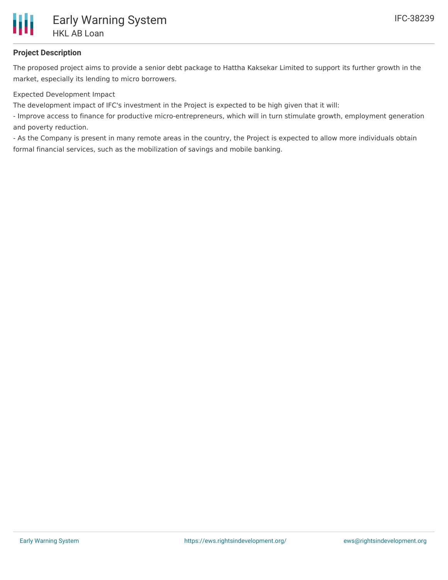

# **Project Description**

The proposed project aims to provide a senior debt package to Hattha Kaksekar Limited to support its further growth in the market, especially its lending to micro borrowers.

Expected Development Impact

The development impact of IFC's investment in the Project is expected to be high given that it will:

- Improve access to finance for productive micro-entrepreneurs, which will in turn stimulate growth, employment generation and poverty reduction.

- As the Company is present in many remote areas in the country, the Project is expected to allow more individuals obtain formal financial services, such as the mobilization of savings and mobile banking.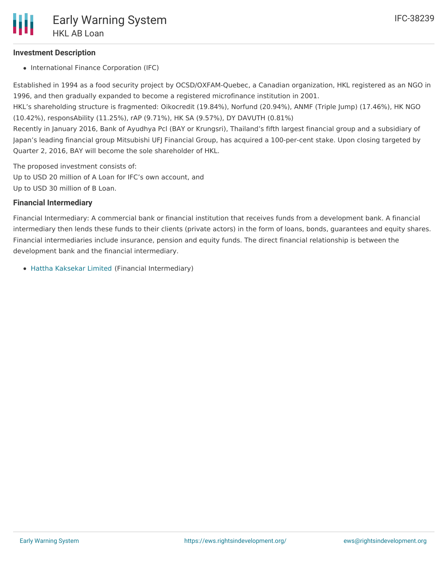### **Investment Description**

• International Finance Corporation (IFC)

Established in 1994 as a food security project by OCSD/OXFAM-Quebec, a Canadian organization, HKL registered as an NGO in 1996, and then gradually expanded to become a registered microfinance institution in 2001.

HKL's shareholding structure is fragmented: Oikocredit (19.84%), Norfund (20.94%), ANMF (Triple Jump) (17.46%), HK NGO (10.42%), responsAbility (11.25%), rAP (9.71%), HK SA (9.57%), DY DAVUTH (0.81%)

Recently in January 2016, Bank of Ayudhya Pcl (BAY or Krungsri), Thailand's fifth largest financial group and a subsidiary of Japan's leading financial group Mitsubishi UFJ Financial Group, has acquired a 100-per-cent stake. Upon closing targeted by Quarter 2, 2016, BAY will become the sole shareholder of HKL.

The proposed investment consists of:

Up to USD 20 million of A Loan for IFC's own account, and Up to USD 30 million of B Loan.

### **Financial Intermediary**

Financial Intermediary: A commercial bank or financial institution that receives funds from a development bank. A financial intermediary then lends these funds to their clients (private actors) in the form of loans, bonds, guarantees and equity shares. Financial intermediaries include insurance, pension and equity funds. The direct financial relationship is between the development bank and the financial intermediary.

Hattha [Kaksekar](file:///actor/731/) Limited (Financial Intermediary)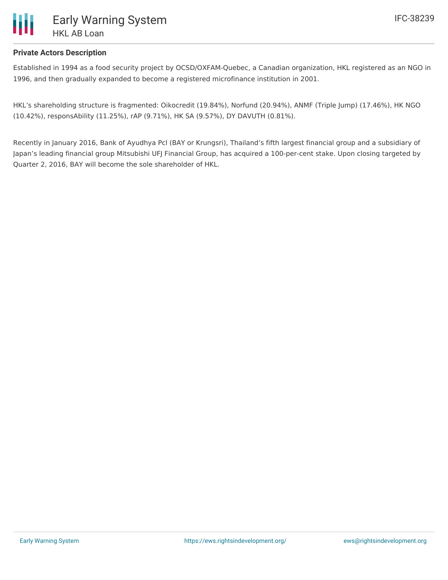

## **Private Actors Description**

Established in 1994 as a food security project by OCSD/OXFAM-Quebec, a Canadian organization, HKL registered as an NGO in 1996, and then gradually expanded to become a registered microfinance institution in 2001.

HKL's shareholding structure is fragmented: Oikocredit (19.84%), Norfund (20.94%), ANMF (Triple Jump) (17.46%), HK NGO (10.42%), responsAbility (11.25%), rAP (9.71%), HK SA (9.57%), DY DAVUTH (0.81%).

Recently in January 2016, Bank of Ayudhya Pcl (BAY or Krungsri), Thailand's fifth largest financial group and a subsidiary of Japan's leading financial group Mitsubishi UFJ Financial Group, has acquired a 100-per-cent stake. Upon closing targeted by Quarter 2, 2016, BAY will become the sole shareholder of HKL.